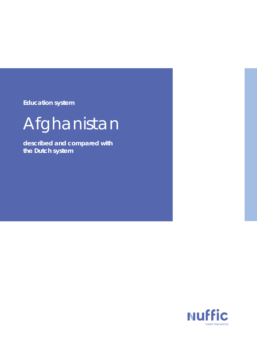**Education system**

# Afghanistan

**described and compared with the Dutch system**

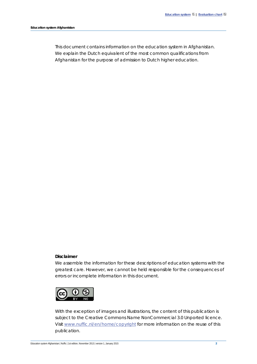This document contains information on the education system in Afghanistan. We explain the Dutch equivalent of the most common qualifications from Afghanistan for the purpose of admission to Dutch higher education.

#### **Disclaimer**

We assemble the information for these descriptions of education systems with the greatest care. However, we cannot be held responsible for the consequences of errors or incomplete information in this document.



With the exception of images and illustrations, the content of this publication is subject to the Creative Commons Name NonCommercial 3.0 Unported licence. Visit [www.nuffic.nl/en/home/copyright](http://www.nuffic.nl/en/home/copyright) for more information on the reuse of this publication.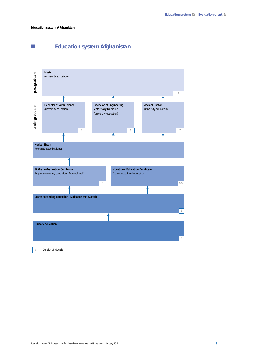**Education system Afghanistan**

<span id="page-2-0"></span>



0 Duration of education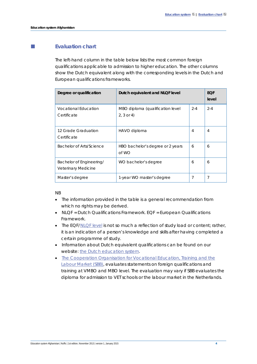# <span id="page-3-0"></span>**Evaluation chart**

The left-hand column in the table below lists the most common foreign qualifications applicable to admission to higher education. The other columns show the Dutch equivalent along with the corresponding levels in the Dutch and European qualifications frameworks.

| Degree or qualification                         | Dutch equivalent and NLQF level                  |         | <b>EQF</b><br>level |
|-------------------------------------------------|--------------------------------------------------|---------|---------------------|
| <b>Vocational Education</b><br>Certificate      | MBO diploma (qualification level<br>$2, 3$ or 4) | $2 - 4$ | $2 - 4$             |
| 12 Grade Graduation<br>Certificate              | HAVO diploma                                     | 4       | 4                   |
| Bachelor of Arts/Science                        | HBO bachelor's degree or 2 years<br>of WO        | 6       | 6                   |
| Bachelor of Engineering/<br>Veterinary Medicine | WO bachelor's degree<br>6                        |         | 6                   |
| Master's degree                                 | 7<br>1-year WO master's degree                   |         | 7                   |

NB

- The information provided in the table is a general recommendation from which no rights may be derived.
- NLQF = Dutch Qualifications Framework. EQF = European Qualifications Framework.
- The EQF[/NLQF level](http://www.nlqf.nl/english) is not so much a reflection of study load or content; rather, it is an indication of a person's knowledge and skills after having completed a certain programme of study.
- Information about Dutch equivalent qualifications can be found on our website[: the Dutch education system.](https://www.nuffic.nl/en/publications/find-a-publication/education-system-the-netherlands.pdf)
- [The Cooperation Organisation for Vocational Education, Training and the](https://www.s-bb.nl/en)  [Labour Market \(SBB\),](https://www.s-bb.nl/en) evaluates statements on foreign qualifications and training at VMBO and MBO level. The evaluation may vary if SBB evaluates the diploma for admission to VET schools or the labour market in the Netherlands.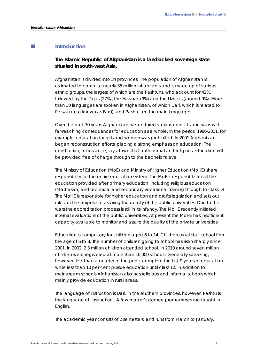## **Introduction**

# **The Islamic Republic of Afghanistan is a landlocked sovereign state situated in south-west Asia.**

Afghanistan is divided into 34 provinces. The population of Afghanistan is estimated to comprise nearly 35 million inhabitants and is made up of various ethnic groups, the largest of which are the Pashtuns, who account for 42%, followed by the Tajiks (27%), the Hazaras (9%) and the Uzbeks (around 9%). More than 30 languages are spoken in Afghanistan, of which Dari, which is related to Persian (also known as Farsi), and Pashtu are the main languages.

Over the past 30 years Afghanistan has endured various conflicts and wars with far-reaching consequences for education as a whole. In the period 1996-2011, for example, education for girls and women was prohibited. In 2001 Afghanistan began reconstruction efforts, placing a strong emphasis on education. The constitution, for instance, lays down that both formal and religious education will be provided free of charge through to the bachelor's level.

The Ministry of Education (MoE) and Ministry of Higher Education (MoHE) share responsibility for the entire education system. The MoE is responsible for all the education provided after primary education, including religious education (*Madrasah*) and technical and secondary vocational training through to class 14. The MoHE is responsible for higher education and drafts legislation and sets out rules for the purpose of assuring the quality of the public universities. Due to the wars the accreditation process is still in its infancy. The MoHE recently initiated internal evaluations of the public universities. At present the MoHE has insufficient capacity available to monitor and assure the quality of the private universities.

Education is compulsory for children aged 6 to 14. Children usual start school from the age of 6 to 8. The number of children going to school has risen sharply since 2001. In 2002, 2.3 million children attended school. In 2010 around seven million children were registered at more than 10,000 schools. Generally speaking, however, less than a quarter of the pupils complete the first 9 years of education while less than 10 per cent pursue education until class 12. In addition to mainstream schools Afghanistan also has religious and informal schools which mainly provide education in rural areas.

The language of instruction is Dari. In the southern provinces, however, Pashtu is the language of instruction. A few master's degree programmes are taught in English.

The academic year consists of 2 semesters, and runs from March to January.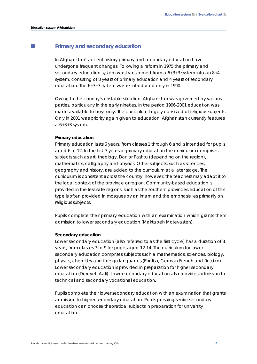## **Primary and secondary education**

In Afghanistan's recent history primary and secondary education have undergone frequent changes. Following a reform in 1975 the primary and secondary education system was transformed from a 6+3+3 system into an 8+4 system, consisting of 8 years of primary education and 4 years of secondary education. The 6+3+3 system was re-introduced only in 1990.

Owing to the country's unstable situation, Afghanistan was governed by various parties, particularly in the early nineties. In the period 1996-2001 education was made available to boys only. The curriculum largely consisted of religious subjects. Only in 2001 was priority again given to education. Afghanistan currently features a 6+3+3 system.

#### **Primary education**

Primary education lasts 6 years, from classes 1 through 6 and is intended for pupils aged 6 to 12. In the first 3 years of primary education the curriculum comprises subjects such as art, theology, Dari or Pashtu (depending on the region), mathematics, calligraphy and physics. Other subjects, such as sciences, geography and history, are added to the curriculum at a later stage. The curriculum is consistent across the country; however, the teachers may adapt it to the local context of the province or region. Community-based education is provided in the less safe regions, such as the southern provinces. Education of this type is often provided in mosques by an imam and the emphasis lies primarily on religious subjects.

Pupils complete their primary education with an examination which grants them admission to lower secondary education (*Maktabeh Motevasteh).*

#### **Secondary education**

Lower secondary education (also referred to as the first cycle) has a duration of 3 years, from classes 7 to 9 for pupils aged 12-14. The curriculum for lower secondary education comprises subjects such a mathematics, sciences, biology, physics, chemistry and foreign languages (English, German French and Russian). Lower secondary education is provided in preparation for higher secondary education (*Doreyeh Aali*). Lower secondary education also provides admission to technical and secondary vocational education.

Pupils complete their lower secondary education with an examination that grants admission to higher secondary education. Pupils pursuing senior secondary education can choose theoretical subjects in preparation for university education.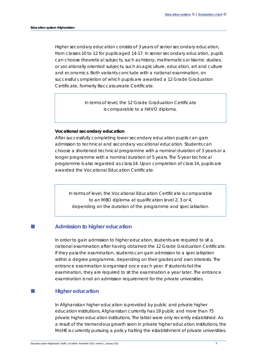Higher secondary education consists of 3 years of senior secondary education, from classes 10 to 12 for pupils aged 14-17. In senior secondary education, pupils can choose theoretical subjects, such as history, mathematics or Islamic studies, or vocationally oriented subjects, such as agriculture, education, art and culture and economics. Both variants conclude with a national examination, on successful completion of which pupils are awarded a *12 Grade Graduation Certificate*, formerly *Baccalaureate Certificate*.

> In terms of level, the *12 Grade Graduation Certificate* is comparable to a HAVO diploma.

#### **Vocational secondary education**

After successfully completing lower secondary education pupils can gain admission to technical and secondary vocational education. Students can choose a shortened technical programme with a nominal duration of 3 years or a longer programme with a nominal duration of 5 years. The 5-year technical programme is also regarded as class 14. Upon completion of class 14, pupils are awarded the *Vocational Education Certificate*.

In terms of level, *the Vocational Education Certificate* is comparable to an MBO diploma at qualification level 2, 3 or 4, depending on the duration of the programme and specialisation.

## **Admission to higher education**

In order to gain admission to higher education, students are required to sit a national examination after having obtained the *12 Grade Graduation Certificate*. If they pass the examination, students can gain admission to a specialisation within a degree programme, depending on their grades and own interests. The entrance examination is organised once each year. If students fail the examination, they are required to sit the examination a year later. The entrance examination is not an admission requirement for the private universities.

## **Higher education**

In Afghanistan higher education is provided by public and private higher education institutions. Afghanistan currently has 19 public and more than 75 private higher education institutions. The latter were only recently established. As a result of the tremendous growth seen in private higher education institutions, the MoHE is currently pursuing a policy halting the establishment of private universities.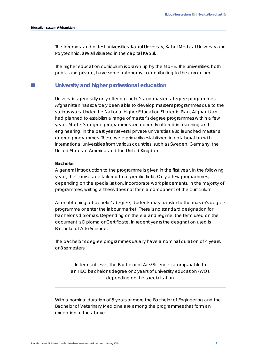The foremost and oldest universities, Kabul University*,* Kabul Medical University and Polytechnic*,* are all situated in the capital Kabul.

The higher education curriculum is drawn up by the MoHE. The universities, both public and private, have some autonomy in contributing to the curriculum.

### **University and higher professional education**

Universities generally only offer bachelor's and master's degree programmes. Afghanistan has scarcely been able to develop master's programmes due to the various wars. Under the National Higher Education Strategic Plan, Afghanistan had planned to establish a range of master's degree programmes within a few years. Master's degree programmes are currently offered in teaching and engineering. In the past year several private universities also launched master's degree programmes. These were primarily established in collaboration with international universities from various countries, such as Sweden, Germany, the United States of America and the United Kingdom.

#### **Bachelor**

A general introduction to the programme is given in the first year. In the following years, the courses are tailored to a specific field. Only a few programmes, depending on the specialisation, incorporate work placements. In the majority of programmes, writing a thesis does not form a component of the curriculum.

After obtaining a bachelor's degree, students may transfer to the master's degree programme or enter the labour market. There is no standard designation for bachelor's diplomas. Depending on the era and regime, the term used on the document is Diploma or Certificate. In recent years the designation used is *Bachelor of Arts/Science*.

The bachelor's degree programmes usually have a nominal duration of 4 years, or 8 semesters.

In terms of level, the *Bachelor of Arts/Science* is comparable to an HBO bachelor's degree or 2 years of university education (WO), depending on the specialisation.

With a nominal duration of 5 years or more the *Bachelor of Engineering* and the *Bachelor of Veterinary Medicine* are among the programmes that form an exception to the above.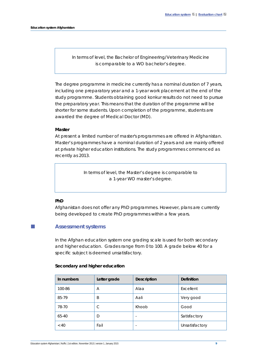In terms of level, the *Bachelor of Engineering/Veterinary Medicine* is comparable to a WO bachelor's degree.

The degree programme in medicine currently has a nominal duration of 7 years, including one preparatory year and a 1-year work placement at the end of the study programme. Students obtaining good *konkur* results do not need to pursue the preparatory year. This means that the duration of the programme will be shorter for some students. Upon completion of the programme, students are awarded the degree of Medical Doctor (MD).

#### **Master**

At present a limited number of master's programmes are offered in Afghanistan. Master's programmes have a nominal duration of 2 years and are mainly offered at private higher education institutions. The study programmes commenced as recently as 2013.

> In terms of level, the *Master's degree* is comparable to a 1-year WO master's degree.

#### **PhD**

Afghanistan does not offer any PhD programmes. However, plans are currently being developed to create PhD programmes within a few years.

## **Assessment systems**

In the Afghan education system one grading scale is used for both secondary and higher education. Grades range from 0 to 100. A grade below 40 for a specific subject is deemed unsatisfactory.

## **Secondary and higher education**

| In numbers | Letter grade | <b>Description</b>       | <b>Definition</b> |
|------------|--------------|--------------------------|-------------------|
| 100-86     | Α            | Alaa                     | Excellent         |
| 85-79      | B            | Aali                     | Very good         |
| 78-70      | C            | Khoob                    | Good              |
| 65-40      | D            | ٠                        | Satisfactory      |
| ~< 40      | Fail         | $\overline{\phantom{a}}$ | Unsatisfactory    |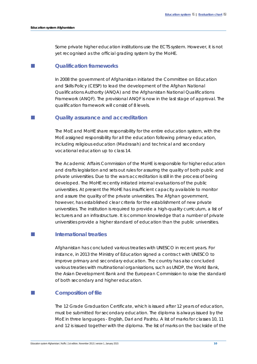Some private higher education institutions use the ECTS system. However, it is not yet recognised as the official grading system by the MoHE.

# **Qualification frameworks**

In 2008 the government of Afghanistan initiated the Committee on Education and Skills Policy (CESP) to lead the development of the Afghan National Qualifications Authority (ANQA) and the Afghanistan National Qualifications Framework (ANQF). The provisional ANQF is now in the last stage of approval. The qualification framework will consist of 8 levels.

## **Quality assurance and accreditation**

The MoE and MoHE share responsibility for the entire education system, with the MoE assigned responsibility for all the education following primary education, including religious education (*Madrasah*) and technical and secondary vocational education up to class 14.

The Academic Affairs Commission of the MoHE is responsible for higher education and drafts legislation and sets out rules for assuring the quality of both public and private universities. Due to the wars accreditation is still in the process of being developed. The MoHE recently initiated internal evaluations of the public universities. At present the MoHE has insufficient capacity available to monitor and assure the quality of the private universities. The Afghan government, however, has established clear criteria for the establishment of new private universities. The institution is required to provide a high-quality curriculum, a list of lecturers and an infrastructure. It is common knowledge that a number of private universities provide a higher standard of education than the public universities.

## **International treaties**

Afghanistan has concluded various treaties with UNESCO in recent years. For instance, in 2013 the Ministry of Education signed a contract with UNESCO to improve primary and secondary education. The country has also concluded various treaties with multinational organisations, such as UNDP, the World Bank, the Asian Development Bank and the European Commission to raise the standard of both secondary and higher education.

## **Composition of file**

The *12 Grade Graduation Certificate*, which is issued after 12 years of education, must be submitted for secondary education. The diploma is always issued by the MoE in three languages - English, Dari and Pashtu. A list of marks for classes 10, 11 and 12 is issued together with the diploma. The list of marks on the backside of the